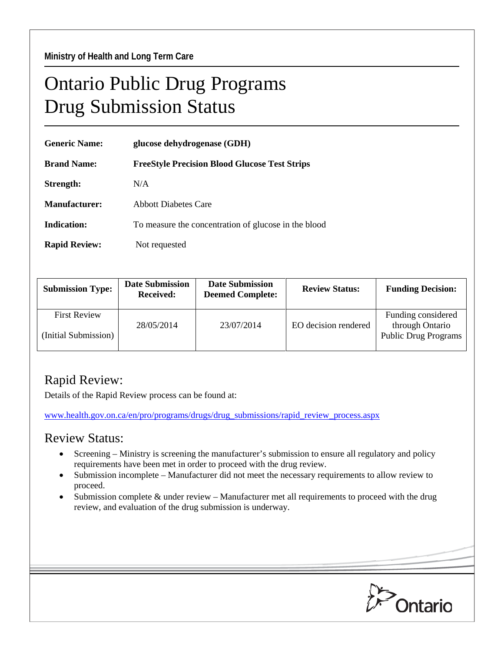## Ontario Public Drug Programs Drug Submission Status

| <b>Generic Name:</b> | glucose dehydrogenase (GDH)                          |  |  |
|----------------------|------------------------------------------------------|--|--|
| <b>Brand Name:</b>   | <b>FreeStyle Precision Blood Glucose Test Strips</b> |  |  |
| Strength:            | N/A                                                  |  |  |
| Manufacturer:        | <b>Abbott Diabetes Care</b>                          |  |  |
| <b>Indication:</b>   | To measure the concentration of glucose in the blood |  |  |
| <b>Rapid Review:</b> | Not requested                                        |  |  |

| <b>Submission Type:</b>                     | <b>Date Submission</b><br><b>Received:</b> | <b>Date Submission</b><br><b>Deemed Complete:</b> | <b>Review Status:</b> | <b>Funding Decision:</b>                                             |
|---------------------------------------------|--------------------------------------------|---------------------------------------------------|-----------------------|----------------------------------------------------------------------|
| <b>First Review</b><br>(Initial Submission) | 28/05/2014                                 | 23/07/2014                                        | EO decision rendered  | Funding considered<br>through Ontario<br><b>Public Drug Programs</b> |

## Rapid Review:

Details of the Rapid Review process can be found at:

[www.health.gov.on.ca/en/pro/programs/drugs/drug\\_submissions/rapid\\_review\\_process.aspx](http://www.health.gov.on.ca/en/pro/programs/drugs/drug_submissions/rapid_review_process.aspx)

## Review Status:

- Screening Ministry is screening the manufacturer's submission to ensure all regulatory and policy requirements have been met in order to proceed with the drug review.
- Submission incomplete Manufacturer did not meet the necessary requirements to allow review to proceed.
- Submission complete & under review Manufacturer met all requirements to proceed with the drug review, and evaluation of the drug submission is underway.